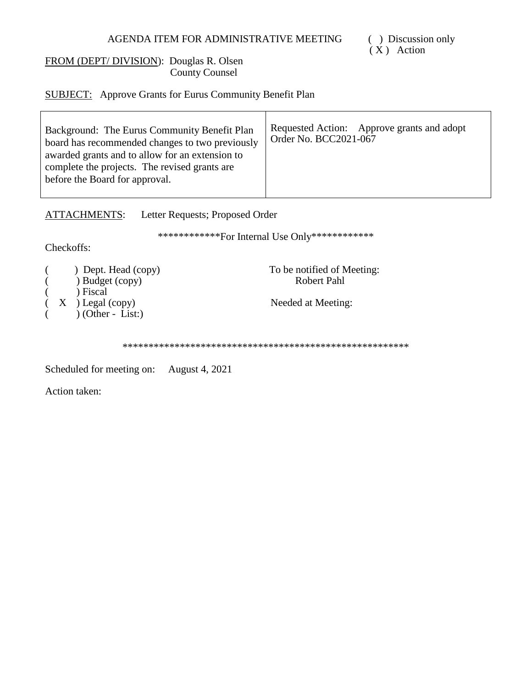# AGENDA ITEM FOR ADMINISTRATIVE MEETING

## FROM (DEPT/DIVISION): Douglas R. Olsen **County Counsel**

**SUBJECT:** Approve Grants for Eurus Community Benefit Plan

| Background: The Eurus Community Benefit Plan<br>board has recommended changes to two previously<br>awarded grants and to allow for an extension to<br>complete the projects. The revised grants are<br>before the Board for approval. | Requested Action: Approve grants and adopt<br>Order No. BCC2021-067 |
|---------------------------------------------------------------------------------------------------------------------------------------------------------------------------------------------------------------------------------------|---------------------------------------------------------------------|
|---------------------------------------------------------------------------------------------------------------------------------------------------------------------------------------------------------------------------------------|---------------------------------------------------------------------|

ATTACHMENTS: Letter Requests; Proposed Order

\*\*\*\*\*\*\*\*\*\*\*\*\*For Internal Use Only\*\*\*\*\*\*\*\*\*\*\*\*\*

Checkoffs:

|         | $)$ Dept. Head (copy) |
|---------|-----------------------|
|         | ) Budget (copy)       |
|         | ) Fiscal              |
| $X_{-}$ | ) Legal (copy)        |
|         | $(Other - List.)$     |
|         |                       |

To be notified of Meeting:<br>Robert Pahl

Needed at Meeting:

Scheduled for meeting on: August 4, 2021

Action taken: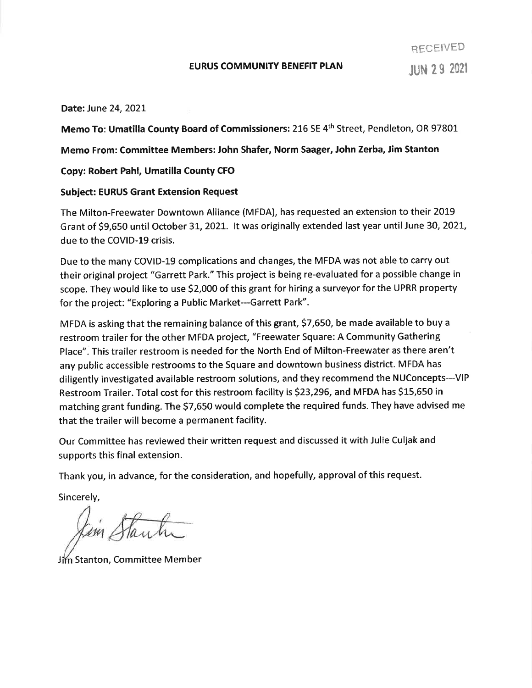### **EURUS COMMUNITY BENEFIT PLAN**

Date: June 24, 2021

Memo To: Umatilla County Board of Commissioners: 216 SE 4th Street, Pendleton, OR 97801

Memo From: Committee Members: John Shafer, Norm Saager, John Zerba, Jim Stanton

Copy: Robert Pahl, Umatilla County CFO

## **Subject: EURUS Grant Extension Request**

The Milton-Freewater Downtown Alliance (MFDA), has requested an extension to their 2019 Grant of \$9,650 until October 31, 2021. It was originally extended last year until June 30, 2021, due to the COVID-19 crisis.

Due to the many COVID-19 complications and changes, the MFDA was not able to carry out their original project "Garrett Park." This project is being re-evaluated for a possible change in scope. They would like to use \$2,000 of this grant for hiring a surveyor for the UPRR property for the project: "Exploring a Public Market---Garrett Park".

MFDA is asking that the remaining balance of this grant, \$7,650, be made available to buy a restroom trailer for the other MFDA project, "Freewater Square: A Community Gathering Place". This trailer restroom is needed for the North End of Milton-Freewater as there aren't any public accessible restrooms to the Square and downtown business district. MFDA has diligently investigated available restroom solutions, and they recommend the NUConcepts---VIP Restroom Trailer. Total cost for this restroom facility is \$23,296, and MFDA has \$15,650 in matching grant funding. The \$7,650 would complete the required funds. They have advised me that the trailer will become a permanent facility.

Our Committee has reviewed their written request and discussed it with Julie Culjak and supports this final extension.

Thank you, in advance, for the consideration, and hopefully, approval of this request.

Sincerely,

Kim Stantin

Jim Stanton, Committee Member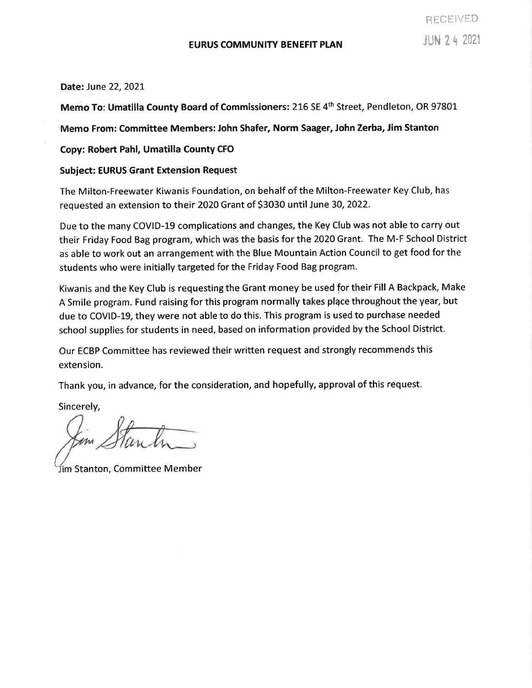#### Date: June 22, 2021

Memo To: Umatilla County Board of Commissioners: 216 SE 4<sup>th</sup> Street, Pendleton, OR 97801

Memo From: Committee Members: John Shafer, Norm Saager, John Zerba, Jim Stanton

### Copy: Robert Pahl, Umatilla County CFO

#### **Subject: EURUS Grant Extension Request**

The Milton-Freewater Kiwanis Foundation, on behalf of the Milton-Freewater Key Club, has requested an extension to their 2020 Grant of \$3030 until June 30, 2022.

Due to the many COVID-19 complications and changes, the Key Club was not able to carry out their Friday Food Bag program, which was the basis for the 2020 Grant. The M-F School District as able to work out an arrangement with the Blue Mountain Action Council to get food for the students who were initially targeted for the Friday Food Bag program.

Kiwanis and the Key Club is requesting the Grant money be used for their Fill A Backpack, Make A Smile program. Fund raising for this program normally takes place throughout the year, but due to COVID-19, they were not able to do this. This program is used to purchase needed school supplies for students in need, based on information provided by the School District.

Our ECBP Committee has reviewed their written request and strongly recommends this extension.

Thank you, in advance, for the consideration, and hopefully, approval of this request.

Sincerely,

Jim Stanton, Committee Member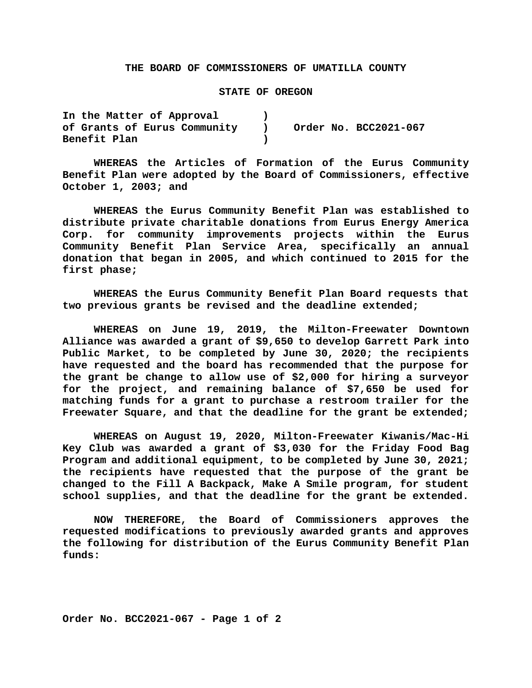#### **THE BOARD OF COMMISSIONERS OF UMATILLA COUNTY**

#### **STATE OF OREGON**

**In the Matter of Approval ) of Grants of Eurus Community ) Order No. BCC2021-067 Benefit Plan )**

**WHEREAS the Articles of Formation of the Eurus Community Benefit Plan were adopted by the Board of Commissioners, effective October 1, 2003; and**

**WHEREAS the Eurus Community Benefit Plan was established to distribute private charitable donations from Eurus Energy America Corp. for community improvements projects within the Eurus Community Benefit Plan Service Area, specifically an annual donation that began in 2005, and which continued to 2015 for the first phase;**

**WHEREAS the Eurus Community Benefit Plan Board requests that two previous grants be revised and the deadline extended;**

**WHEREAS on June 19, 2019, the Milton-Freewater Downtown Alliance was awarded a grant of \$9,650 to develop Garrett Park into Public Market, to be completed by June 30, 2020; the recipients have requested and the board has recommended that the purpose for the grant be change to allow use of \$2,000 for hiring a surveyor for the project, and remaining balance of \$7,650 be used for matching funds for a grant to purchase a restroom trailer for the Freewater Square, and that the deadline for the grant be extended;**

**WHEREAS on August 19, 2020, Milton-Freewater Kiwanis/Mac-Hi Key Club was awarded a grant of \$3,030 for the Friday Food Bag Program and additional equipment, to be completed by June 30, 2021; the recipients have requested that the purpose of the grant be changed to the Fill A Backpack, Make A Smile program, for student school supplies, and that the deadline for the grant be extended.**

**NOW THEREFORE, the Board of Commissioners approves the requested modifications to previously awarded grants and approves the following for distribution of the Eurus Community Benefit Plan funds:**

**Order No. BCC2021-067 - Page 1 of 2**